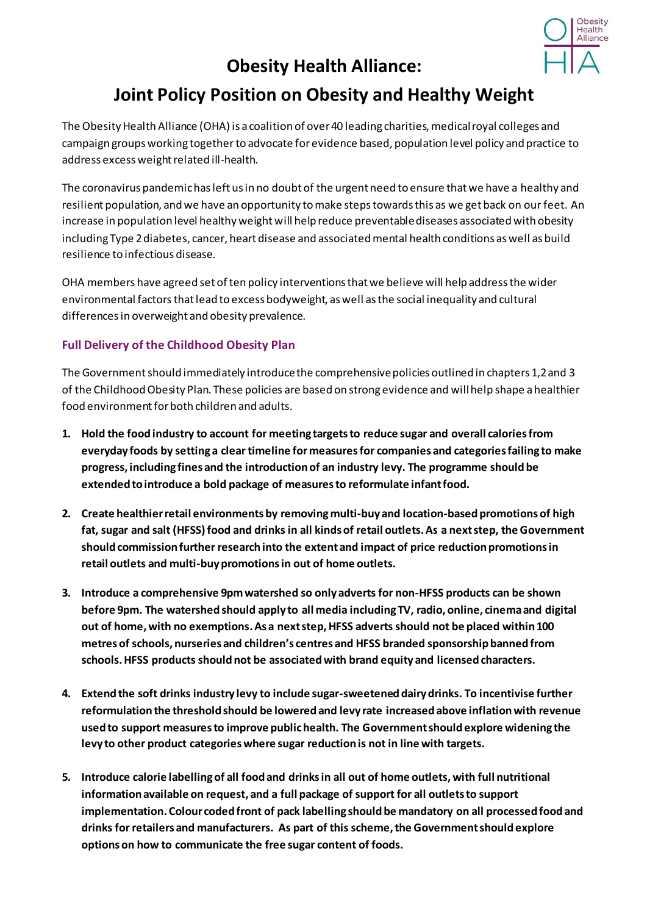

## **Obesity Health Alliance:**

## **Joint Policy Position on Obesity and Healthy Weight**

The Obesity Health Alliance (OHA) is a coalition of over 40 leading charities, medical royal colleges and campaign groups working together to advocate for evidence based, population level policy and practice to address excess weight related ill-health.

The coronavirus pandemic has left us in no doubt of the urgent need to ensure that we have a healthy and resilient population, and we have an opportunity to make steps towards this as we get back on our feet. An increase in population level healthy weight will help reduce preventable diseases associated with obesity including Type 2 diabetes, cancer, heart disease and associated mental health conditions as well as build resilience to infectious disease.

OHA members have agreed set of ten policy interventions that we believe will help address the wider environmental factors that lead to excess bodyweight, as well as the social inequality and cultural differences in overweight and obesity prevalence.

## **Full Delivery of the Childhood Obesity Plan**

The Government should immediately introduce the comprehensive policies outlined in chapters 1,2 and 3 of the Childhood Obesity Plan. These policies are based on strong evidence and will help shape a healthier food environment for both children and adults.

- **1. Hold the food industry to account for meeting targets to reduce sugar and overall calories from everyday foods by setting a clear timeline for measuresfor companies and categories failing to make progress, including fines and the introduction of an industry levy. The programme should be extended to introduce a bold package of measures to reformulate infant food.**
- **2. Create healthier retail environments by removingmulti-buy and location-based promotions of high fat, sugar and salt (HFSS)food and drinks in all kinds of retail outlets. As a next step, the Government should commission further research into the extent and impact of price reduction promotions in retail outlets and multi-buy promotions in out of home outlets.**
- **3. Introduce a comprehensive 9pm watershed so only adverts for non-HFSS products can be shown before 9pm. The watershed should apply to all media including TV, radio, online, cinema and digital out of home, with no exemptions. As a next step, HFSS adverts should not be placed within 100 metres of schools, nurseries and children's centres and HFSS branded sponsorship banned from schools. HFSS products should not be associated with brand equity and licensed characters.**
- **4. Extend the soft drinks industry levy to include sugar-sweetened dairy drinks. To incentivise further reformulation the threshold should be lowered and levy rate increased above inflation with revenue used to support measures to improve public health. The Government should explore widening the levy to other product categories where sugar reduction is not in line with targets.**
- **5. Introduce calorie labelling of all food and drinks in all out of home outlets,with full nutritional information available on request, and a full package of support for all outlets to support implementation. Colour coded front of pack labelling should be mandatory on all processed food and drinks for retailers and manufacturers. As part of this scheme, the Government should explore options on how to communicate the free sugar content of foods.**